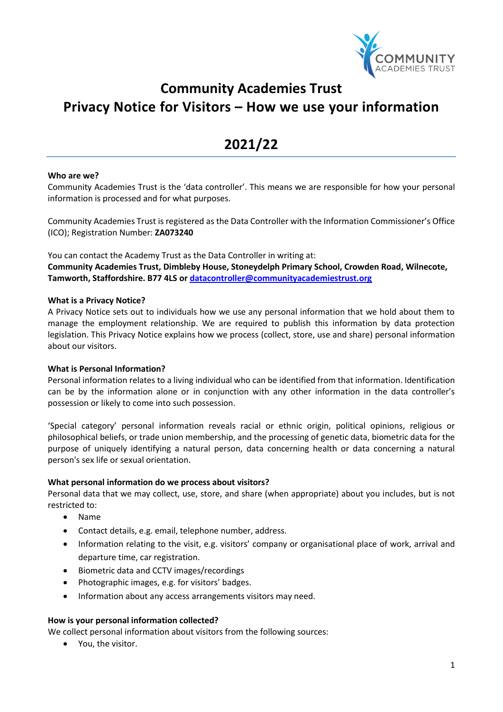

# **Community Academies Trust Privacy Notice for Visitors – How we use your information**

# **2021/22**

#### **Who are we?**

Community Academies Trust is the 'data controller'. This means we are responsible for how your personal information is processed and for what purposes.

Community Academies Trust is registered as the Data Controller with the Information Commissioner's Office (ICO); Registration Number: **ZA073240**

You can contact the Academy Trust as the Data Controller in writing at: **Community Academies Trust, Dimbleby House, Stoneydelph Primary School, Crowden Road, Wilnecote, Tamworth, Staffordshire. B77 4LS or [datacontroller@communityacademiestrust.org](mailto:datacontroller@communityacademiestrust.org)**

# **What is a Privacy Notice?**

A Privacy Notice sets out to individuals how we use any personal information that we hold about them to manage the employment relationship. We are required to publish this information by data protection legislation. This Privacy Notice explains how we process (collect, store, use and share) personal information about our visitors.

#### **What is Personal Information?**

Personal information relates to a living individual who can be identified from that information. Identification can be by the information alone or in conjunction with any other information in the data controller's possession or likely to come into such possession.

'Special category' personal information reveals racial or ethnic origin, political opinions, religious or philosophical beliefs, or trade union membership, and the processing of genetic data, biometric data for the purpose of uniquely identifying a natural person, data concerning health or data concerning a natural person's sex life or sexual orientation.

# **What personal information do we process about visitors?**

Personal data that we may collect, use, store, and share (when appropriate) about you includes, but is not restricted to:

- Name
- Contact details, e.g. email, telephone number, address.
- Information relating to the visit, e.g. visitors' company or organisational place of work, arrival and departure time, car registration.
- Biometric data and CCTV images/recordings
- Photographic images, e.g. for visitors' badges.
- Information about any access arrangements visitors may need.

#### **How is your personal information collected?**

We collect personal information about visitors from the following sources:

• You, the visitor.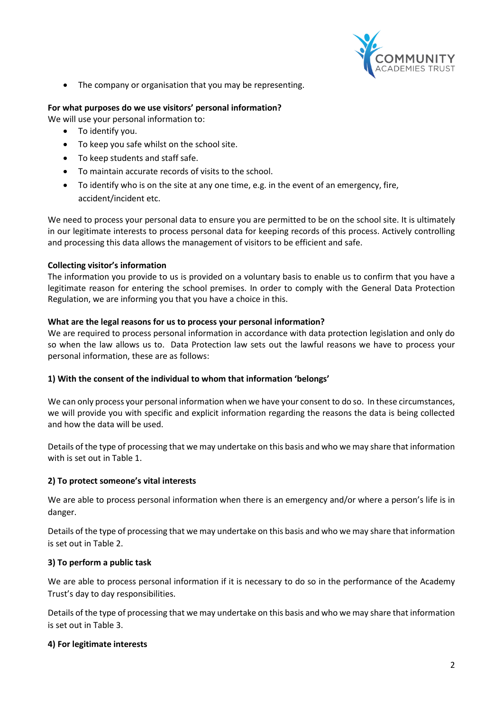

• The company or organisation that you may be representing.

# **For what purposes do we use visitors' personal information?**

We will use your personal information to:

- To identify you.
- To keep you safe whilst on the school site.
- To keep students and staff safe.
- To maintain accurate records of visits to the school.
- To identify who is on the site at any one time, e.g. in the event of an emergency, fire, accident/incident etc.

We need to process your personal data to ensure you are permitted to be on the school site. It is ultimately in our legitimate interests to process personal data for keeping records of this process. Actively controlling and processing this data allows the management of visitors to be efficient and safe.

# **Collecting visitor's information**

The information you provide to us is provided on a voluntary basis to enable us to confirm that you have a legitimate reason for entering the school premises. In order to comply with the General Data Protection Regulation, we are informing you that you have a choice in this.

#### **What are the legal reasons for us to process your personal information?**

We are required to process personal information in accordance with data protection legislation and only do so when the law allows us to. Data Protection law sets out the lawful reasons we have to process your personal information, these are as follows:

#### **1) With the consent of the individual to whom that information 'belongs'**

We can only process your personal information when we have your consent to do so. In these circumstances, we will provide you with specific and explicit information regarding the reasons the data is being collected and how the data will be used.

Details of the type of processing that we may undertake on this basis and who we may share that information with is set out in Table 1.

#### **2) To protect someone's vital interests**

We are able to process personal information when there is an emergency and/or where a person's life is in danger.

Details of the type of processing that we may undertake on this basis and who we may share that information is set out in Table 2.

#### **3) To perform a public task**

We are able to process personal information if it is necessary to do so in the performance of the Academy Trust's day to day responsibilities.

Details of the type of processing that we may undertake on this basis and who we may share that information is set out in Table 3.

#### **4) For legitimate interests**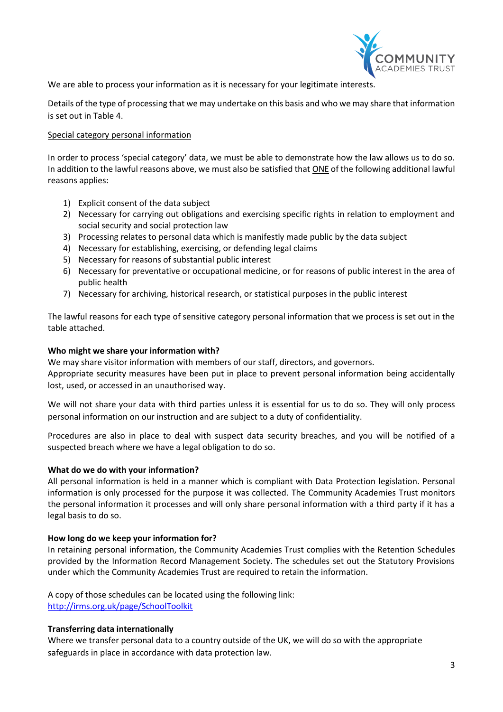

We are able to process your information as it is necessary for your legitimate interests.

Details of the type of processing that we may undertake on this basis and who we may share that information is set out in Table 4.

### Special category personal information

In order to process 'special category' data, we must be able to demonstrate how the law allows us to do so. In addition to the lawful reasons above, we must also be satisfied that ONE of the following additional lawful reasons applies:

- 1) Explicit consent of the data subject
- 2) Necessary for carrying out obligations and exercising specific rights in relation to employment and social security and social protection law
- 3) Processing relates to personal data which is manifestly made public by the data subject
- 4) Necessary for establishing, exercising, or defending legal claims
- 5) Necessary for reasons of substantial public interest
- 6) Necessary for preventative or occupational medicine, or for reasons of public interest in the area of public health
- 7) Necessary for archiving, historical research, or statistical purposes in the public interest

The lawful reasons for each type of sensitive category personal information that we process is set out in the table attached.

#### **Who might we share your information with?**

We may share visitor information with members of our staff, directors, and governors.

Appropriate security measures have been put in place to prevent personal information being accidentally lost, used, or accessed in an unauthorised way.

We will not share your data with third parties unless it is essential for us to do so. They will only process personal information on our instruction and are subject to a duty of confidentiality.

Procedures are also in place to deal with suspect data security breaches, and you will be notified of a suspected breach where we have a legal obligation to do so.

#### **What do we do with your information?**

All personal information is held in a manner which is compliant with Data Protection legislation. Personal information is only processed for the purpose it was collected. The Community Academies Trust monitors the personal information it processes and will only share personal information with a third party if it has a legal basis to do so.

#### **How long do we keep your information for?**

In retaining personal information, the Community Academies Trust complies with the Retention Schedules provided by the Information Record Management Society. The schedules set out the Statutory Provisions under which the Community Academies Trust are required to retain the information.

A copy of those schedules can be located using the following link: <http://irms.org.uk/page/SchoolToolkit>

# **Transferring data internationally**

Where we transfer personal data to a country outside of the UK, we will do so with the appropriate safeguards in place in accordance with data protection law.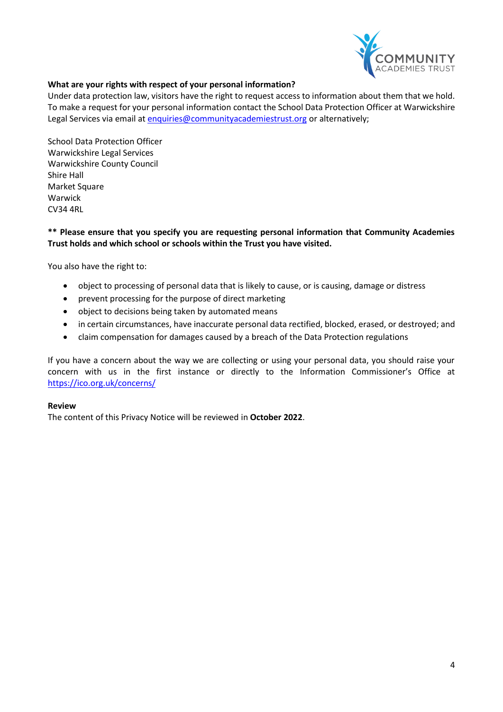

# **What are your rights with respect of your personal information?**

Under data protection law, visitors have the right to request access to information about them that we hold. To make a request for your personal information contact the School Data Protection Officer at Warwickshire Legal Services via email at [enquiries@communityacademiestrust.org](mailto:enquiries@communityacademiestrust.org) or alternatively;

School Data Protection Officer Warwickshire Legal Services Warwickshire County Council Shire Hall Market Square Warwick CV34 4RL

### **\*\* Please ensure that you specify you are requesting personal information that Community Academies Trust holds and which school or schools within the Trust you have visited.**

You also have the right to:

- object to processing of personal data that is likely to cause, or is causing, damage or distress
- prevent processing for the purpose of direct marketing
- object to decisions being taken by automated means
- in certain circumstances, have inaccurate personal data rectified, blocked, erased, or destroyed; and
- claim compensation for damages caused by a breach of the Data Protection regulations

If you have a concern about the way we are collecting or using your personal data, you should raise your concern with us in the first instance or directly to the Information Commissioner's Office at <https://ico.org.uk/concerns/>

#### **Review**

The content of this Privacy Notice will be reviewed in **October 2022**.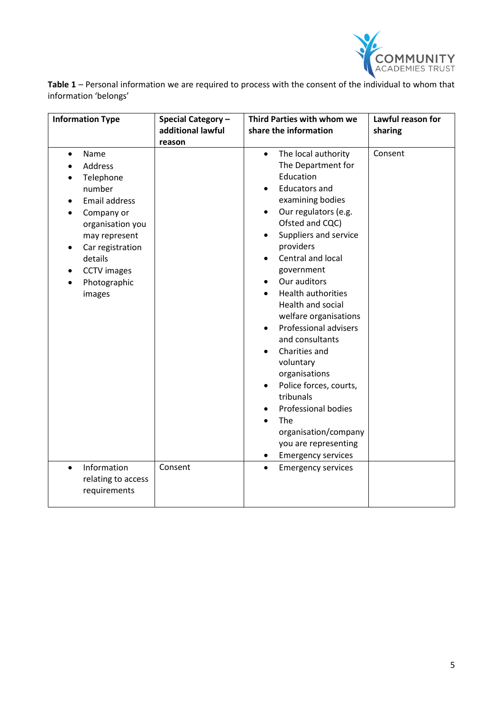

**Table 1** – Personal information we are required to process with the consent of the individual to whom that information 'belongs'

| <b>Information Type</b>                                                                                                                                                                                              | Special Category -<br>additional lawful<br>reason | Third Parties with whom we<br>share the information                                                                                                                                                                                                                                                                                                                                                                                                                                                                                                                                                                                                      | Lawful reason for<br>sharing |
|----------------------------------------------------------------------------------------------------------------------------------------------------------------------------------------------------------------------|---------------------------------------------------|----------------------------------------------------------------------------------------------------------------------------------------------------------------------------------------------------------------------------------------------------------------------------------------------------------------------------------------------------------------------------------------------------------------------------------------------------------------------------------------------------------------------------------------------------------------------------------------------------------------------------------------------------------|------------------------------|
| Name<br>$\bullet$<br><b>Address</b><br>Telephone<br>number<br><b>Email address</b><br>Company or<br>organisation you<br>may represent<br>Car registration<br>details<br><b>CCTV</b> images<br>Photographic<br>images |                                                   | The local authority<br>$\bullet$<br>The Department for<br>Education<br><b>Educators and</b><br>$\bullet$<br>examining bodies<br>Our regulators (e.g.<br>$\bullet$<br>Ofsted and CQC)<br>Suppliers and service<br>$\bullet$<br>providers<br>Central and local<br>government<br>Our auditors<br>$\bullet$<br><b>Health authorities</b><br>Health and social<br>welfare organisations<br>Professional advisers<br>and consultants<br>Charities and<br>voluntary<br>organisations<br>Police forces, courts,<br>tribunals<br><b>Professional bodies</b><br>$\bullet$<br>The<br>organisation/company<br>you are representing<br><b>Emergency services</b><br>٠ | Consent                      |
| Information<br>$\bullet$<br>relating to access<br>requirements                                                                                                                                                       | Consent                                           | <b>Emergency services</b><br>$\bullet$                                                                                                                                                                                                                                                                                                                                                                                                                                                                                                                                                                                                                   |                              |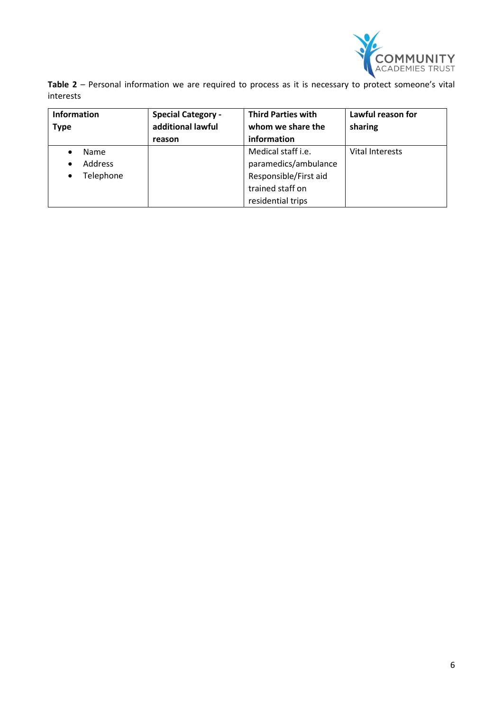

**Table 2** – Personal information we are required to process as it is necessary to protect someone's vital interests

| <b>Information</b><br><b>Type</b>                            | <b>Special Category -</b><br>additional lawful | <b>Third Parties with</b><br>whom we share the                                                               | Lawful reason for<br>sharing |
|--------------------------------------------------------------|------------------------------------------------|--------------------------------------------------------------------------------------------------------------|------------------------------|
|                                                              | reason                                         | information                                                                                                  |                              |
| <b>Name</b><br><b>Address</b><br>$\bullet$<br>Telephone<br>٠ |                                                | Medical staff i.e.<br>paramedics/ambulance<br>Responsible/First aid<br>trained staff on<br>residential trips | <b>Vital Interests</b>       |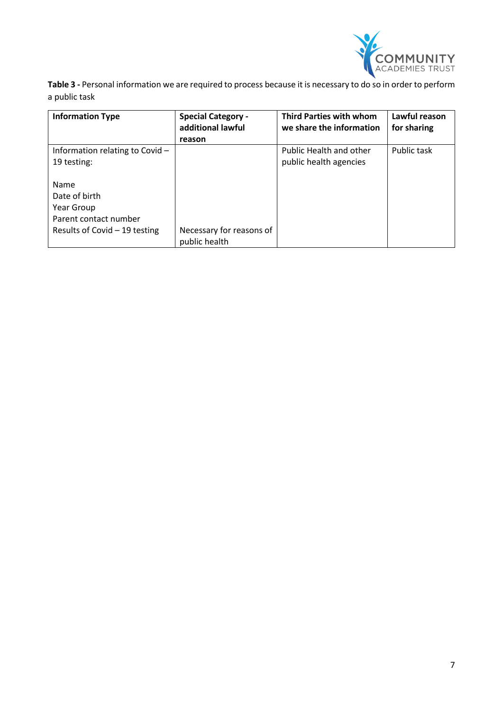

**Table 3 -** Personal information we are required to process because it is necessary to do so in order to perform a public task

| <b>Information Type</b>           | <b>Special Category -</b><br>additional lawful | <b>Third Parties with whom</b><br>we share the information | Lawful reason<br>for sharing |
|-----------------------------------|------------------------------------------------|------------------------------------------------------------|------------------------------|
|                                   | reason                                         |                                                            |                              |
| Information relating to Covid $-$ |                                                | <b>Public Health and other</b>                             | Public task                  |
| 19 testing:                       |                                                | public health agencies                                     |                              |
|                                   |                                                |                                                            |                              |
| Name                              |                                                |                                                            |                              |
| Date of birth                     |                                                |                                                            |                              |
| Year Group                        |                                                |                                                            |                              |
| Parent contact number             |                                                |                                                            |                              |
| Results of Covid $-19$ testing    | Necessary for reasons of                       |                                                            |                              |
|                                   | public health                                  |                                                            |                              |